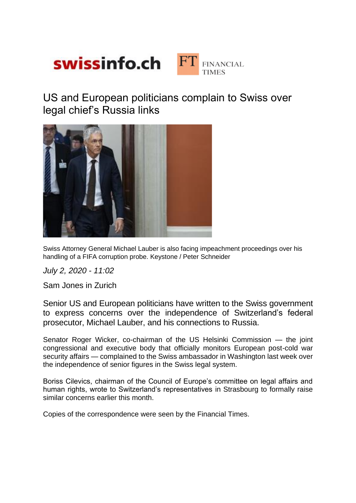

US and European politicians complain to Swiss over legal chief's Russia links



Swiss Attorney General Michael Lauber is also facing impeachment proceedings over his handling of a FIFA corruption probe. Keystone / Peter Schneider

*July 2, 2020 - 11:02*

Sam Jones in Zurich

Senior US and European politicians have written to the Swiss government to express concerns over the independence of Switzerland's federal prosecutor, Michael Lauber, and his connections to Russia.

Senator Roger Wicker, co-chairman of the US Helsinki Commission — the joint congressional and executive body that officially monitors European post-cold war security affairs — complained to the Swiss ambassador in Washington last week over the independence of senior figures in the Swiss legal system.

Boriss Cilevics, chairman of the Council of Europe's committee on legal affairs and human rights, wrote to Switzerland's representatives in Strasbourg to formally raise similar concerns earlier this month.

Copies of the correspondence were seen by the Financial Times.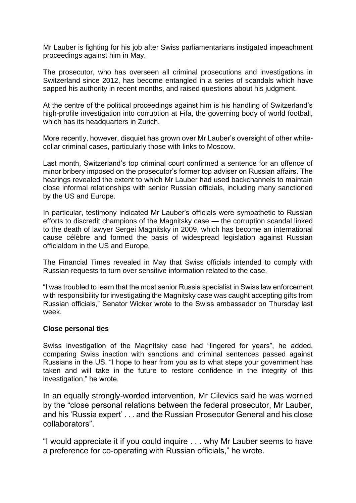Mr Lauber is fighting for his job after Swiss parliamentarians instigated impeachment proceedings against him in May.

The prosecutor, who has overseen all criminal prosecutions and investigations in Switzerland since 2012, has become entangled in a series of scandals which have sapped his authority in recent months, and raised questions about his judgment.

At the centre of the political proceedings against him is his handling of Switzerland's high-profile investigation into corruption at Fifa, the governing body of world football, which has its headquarters in Zurich.

More recently, however, disquiet has grown over Mr Lauber's oversight of other whitecollar criminal cases, particularly those with links to Moscow.

Last month, Switzerland's top criminal court confirmed a sentence for an offence of minor bribery imposed on the prosecutor's former top adviser on Russian affairs. The hearings revealed the extent to which Mr Lauber had used backchannels to maintain close informal relationships with senior Russian officials, including many sanctioned by the US and Europe.

In particular, testimony indicated Mr Lauber's officials were sympathetic to Russian efforts to discredit champions of the Magnitsky case — the corruption scandal linked to the death of lawyer Sergei Magnitsky in 2009, which has become an international cause célèbre and formed the basis of widespread legislation against Russian officialdom in the US and Europe.

The Financial Times revealed in May that Swiss officials intended to comply with Russian requests to turn over sensitive information related to the case.

"I was troubled to learn that the most senior Russia specialist in Swiss law enforcement with responsibility for investigating the Magnitsky case was caught accepting gifts from Russian officials," Senator Wicker wrote to the Swiss ambassador on Thursday last week.

## **Close personal ties**

Swiss investigation of the Magnitsky case had "lingered for years", he added, comparing Swiss inaction with sanctions and criminal sentences passed against Russians in the US. "I hope to hear from you as to what steps your government has taken and will take in the future to restore confidence in the integrity of this investigation," he wrote.

In an equally strongly-worded intervention, Mr Cilevics said he was worried by the "close personal relations between the federal prosecutor, Mr Lauber, and his 'Russia expert' . . . and the Russian Prosecutor General and his close collaborators".

"I would appreciate it if you could inquire . . . why Mr Lauber seems to have a preference for co-operating with Russian officials," he wrote.